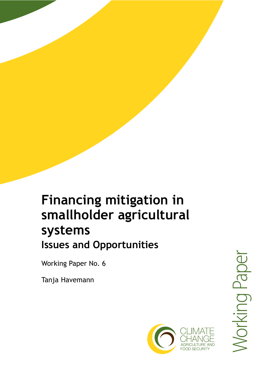# smallholder agricultural



**Financing mitigation in** 

**Issues and Opportunities** 

systems

Working Paper No. 6

Tanja Havemann

Working Paper **Jorking Paper**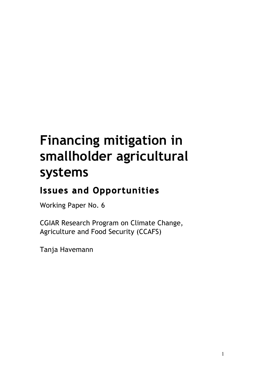# **Financing mitigation in smallholder agricultural systems**

# **Issues and Opportunities**

Working Paper No. 6

CGIAR Research Program on Climate Change, Agriculture and Food Security (CCAFS)

Tanja Havemann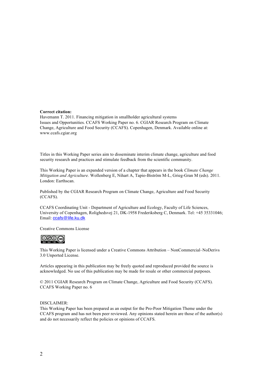#### **Correct citation:**

Havemann T. 2011. Financing mitigation in smallholder agricultural systems Issues and Opportunities. CCAFS Working Paper no. 6. CGIAR Research Program on Climate Change, Agriculture and Food Security (CCAFS). Copenhagen, Denmark. Available online at: www.ccafs.cgiar.org

Titles in this Working Paper series aim to disseminate interim climate change, agriculture and food security research and practices and stimulate feedback from the scientific community.

This Working Paper is an expanded version of a chapter that appears in the book *Climate Change Mitigation and Agriculture.* Wollenberg E, Nihart A, Tapio-Biström M-L, Grieg-Gran M (eds). 2011. London: Earthscan.

Published by the CGIAR Research Program on Climate Change, Agriculture and Food Security (CCAFS).

CCAFS Coordinating Unit - Department of Agriculture and Ecology, Faculty of Life Sciences, University of Copenhagen, Rolighedsvej 21, DK-1958 Frederiksberg C, Denmark. Tel: +45 35331046; Email: ccafs@life.ku.dk

Creative Commons License



This Working Paper is licensed under a Creative Commons Attribution – NonCommercial–NoDerivs 3.0 Unported License.

Articles appearing in this publication may be freely quoted and reproduced provided the source is acknowledged. No use of this publication may be made for resale or other commercial purposes.

© 2011 CGIAR Research Program on Climate Change, Agriculture and Food Security (CCAFS). CCAFS Working Paper no. 6

#### DISCLAIMER:

This Working Paper has been prepared as an output for the Pro-Poor Mitigation Theme under the CCAFS program and has not been peer reviewed. Any opinions stated herein are those of the author(s) and do not necessarily reflect the policies or opinions of CCAFS.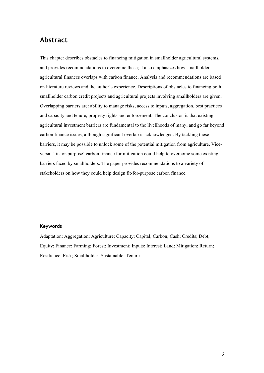# **Abstract**

This chapter describes obstacles to financing mitigation in smallholder agricultural systems, and provides recommendations to overcome these; it also emphasizes how smallholder agricultural finances overlaps with carbon finance. Analysis and recommendations are based on literature reviews and the author's experience. Descriptions of obstacles to financing both smallholder carbon credit projects and agricultural projects involving smallholders are given. Overlapping barriers are: ability to manage risks, access to inputs, aggregation, best practices and capacity and tenure, property rights and enforcement. The conclusion is that existing agricultural investment barriers are fundamental to the livelihoods of many, and go far beyond carbon finance issues, although significant overlap is acknowledged. By tackling these barriers, it may be possible to unlock some of the potential mitigation from agriculture. Viceversa, 'fit-for-purpose' carbon finance for mitigation could help to overcome some existing barriers faced by smallholders. The paper provides recommendations to a variety of stakeholders on how they could help design fit-for-purpose carbon finance.

### **Keywords**

Adaptation; Aggregation; Agriculture; Capacity; Capital; Carbon; Cash; Credits; Debt; Equity; Finance; Farming; Forest; Investment; Inputs; Interest; Land; Mitigation; Return; Resilience; Risk; Smallholder; Sustainable; Tenure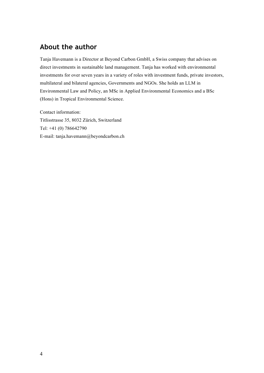# **About the author**

Tanja Havemann is a Director at Beyond Carbon GmbH, a Swiss company that advises on direct investments in sustainable land management. Tanja has worked with environmental investments for over seven years in a variety of roles with investment funds, private investors, multilateral and bilateral agencies, Governments and NGOs. She holds an LLM in Environmental Law and Policy, an MSc in Applied Environmental Economics and a BSc (Hons) in Tropical Environmental Science.

Contact information: Titlisstrasse 35, 8032 Zürich, Switzerland Tel: +41 (0) 786642790 E-mail: tanja.havemann@beyondcarbon.ch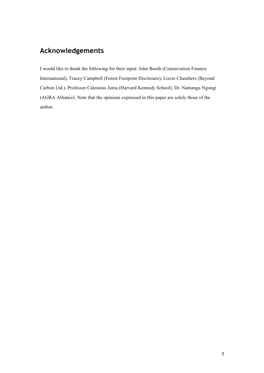# **Acknowledgements**

I would like to thank the following for their input: John Booth (Conservation Finance International), Tracey Campbell (Forest Footprint Disclosure), Lizzie Chambers (Beyond Carbon Ltd.), Professor Calestous Juma (Harvard Kennedy School), Dr. Namanga Ngongi (AGRA Alliance). Note that the opinions expressed in this paper are solely those of the author.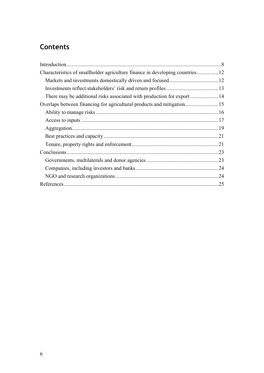# **Contents**

| Characteristics of smallholder agriculture finance in developing countries 12 |     |
|-------------------------------------------------------------------------------|-----|
|                                                                               |     |
|                                                                               |     |
| There may be additional risks associated with production for export  14       |     |
|                                                                               |     |
|                                                                               |     |
|                                                                               |     |
|                                                                               |     |
|                                                                               |     |
|                                                                               |     |
|                                                                               |     |
|                                                                               |     |
|                                                                               |     |
|                                                                               |     |
|                                                                               | .25 |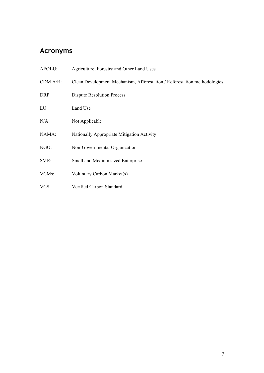# **Acronyms**

| AFOLU:             | Agriculture, Forestry and Other Land Uses                                |
|--------------------|--------------------------------------------------------------------------|
| $CDM A/R$ :        | Clean Development Mechanism, Afforestation / Reforestation methodologies |
| DRP:               | <b>Dispute Resolution Process</b>                                        |
| LU:                | Land Use                                                                 |
| $N/A$ :            | Not Applicable                                                           |
| NAMA:              | Nationally Appropriate Mitigation Activity                               |
| NGO:               | Non-Governmental Organization                                            |
| SME:               | Small and Medium sized Enterprise                                        |
| VCM <sub>s</sub> : | Voluntary Carbon Market(s)                                               |
| <b>VCS</b>         | Verified Carbon Standard                                                 |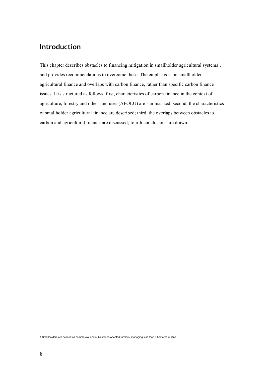# **Introduction**

This chapter describes obstacles to financing mitigation in smallholder agricultural systems<sup>1</sup>, and provides recommendations to overcome these. The emphasis is on smallholder agricultural finance and overlaps with carbon finance, rather than specific carbon finance issues. It is structured as follows: first, characteristics of carbon finance in the context of agriculture, forestry and other land uses (AFOLU) are summarized; second, the characteristics of smallholder agricultural finance are described; third, the overlaps between obstacles to carbon and agricultural finance are discussed; fourth conclusions are drawn.

1 Smallholders are defined as commercial and subsistence-oriented farmers, managing less than 5 hectares of land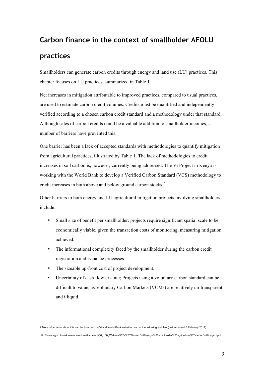# **Carbon finance in the context of smallholder AFOLU practices**

Smallholders can generate carbon credits through energy and land use (LU) practices. This chapter focuses on LU practices, summarized in Table 1.

Net increases in mitigation attributable to improved practices, compared to usual practices, are used to estimate carbon credit volumes. Credits must be quantified and independently verified according to a chosen carbon credit standard and a methodology under that standard. Although sales of carbon credits could be a valuable addition to smallholder incomes, a number of barriers have prevented this.

One barrier has been a lack of accepted standards with methodologies to quantify mitigation from agricultural practices, illustrated by Table 1. The lack of methodologies to credit increases in soil carbon is, however, currently being addressed. The Vi Project in Kenya is working with the World Bank to develop a Verified Carbon Standard (VCS) methodology to credit increases in both above and below ground carbon stocks. 2

Other barriers to both energy and LU agricultural mitigation projects involving smallholders include:

- Small size of benefit per smallholder: projects require significant spatial scale to be economically viable, given the transaction costs of monitoring, measuring mitigation achieved.
- The informational complexity faced by the smallholder during the carbon credit registration and issuance processes.
- The sizeable up-front cost of project development...
- Uncertainty of cash flow ex-ante; Projects using a voluntary carbon standard can be difficult to value, as Voluntary Carbon Markets (VCMs) are relatively un-transparent and illiquid.

2 More information about this can be found on the Vi and World Bank websites, and at the following web link (last accessed 8 February 2011): http://www.agriculture4development.se/document/56\_100\_Wakesa%20-%20Western%20Kenya%20smallholder%20agriculture%20carbon%20project.pdf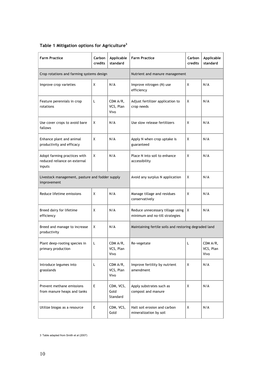| <b>Farm Practice</b>                                                   | Carbon<br>credits | Applicable<br>standard          | <b>Farm Practice</b>                                               | Carbon<br>credits | Applicable<br>standard        |
|------------------------------------------------------------------------|-------------------|---------------------------------|--------------------------------------------------------------------|-------------------|-------------------------------|
| Crop rotations and farming systems design                              |                   |                                 | Nutrient and manure management                                     |                   |                               |
| Improve crop varieties                                                 | X                 | N/A                             | Improve nitrogen (N) use<br>efficiency                             | X                 | N/A                           |
| Feature perennials in crop<br>rotations                                | L                 | CDM A/R,<br>VCS, Plan<br>Vivo   | Adjust fertilizer application to<br>crop needs                     | X                 | N/A                           |
| Use cover crops to avoid bare<br>fallows                               | X                 | N/A                             | Use slow release fertilizers                                       | X                 | N/A                           |
| Enhance plant and animal<br>productivity and efficacy                  | X                 | N/A                             | Apply N when crop uptake is<br>guaranteed                          | X                 | N/A                           |
| Adopt farming practices with<br>reduced reliance on external<br>inputs | X                 | N/A                             | Place N into soil to enhance<br>accessibility                      | X                 | N/A                           |
| Livestock management, pasture and fodder supply<br>improvement         |                   | Avoid any surplus N application | X                                                                  | N/A               |                               |
| Reduce lifetime emissions                                              | X                 | N/A                             | Manage tillage and residues<br>conservatively                      | X                 | N/A                           |
| Breed dairy for lifetime<br>efficiency                                 | X                 | N/A                             | Reduce unnecessary tillage using<br>minimum and no-till strategies | X                 | N/A                           |
| Breed and manage to increase<br>productivity                           | X                 | N/A                             | Maintaining fertile soils and restoring degraded land              |                   |                               |
| Plant deep-rooting species in<br>primary production                    | L                 | CDM A/R,<br>VCS, Plan<br>Vivo   | Re-vegetate                                                        | L                 | CDM A/R,<br>VCS, Plan<br>Vivo |
| Introduce legumes into<br>grasslands                                   | L                 | CDM A/R,<br>VCS, Plan<br>Vivo   | Improve fertility by nutrient<br>amendment                         | X                 | N/A                           |
| Prevent methane emissions<br>from manure heaps and tanks               | E                 | CDM, VCS,<br>Gold<br>Standard   | Apply substrates such as<br>compost and manure                     | X                 | N/A                           |
| Utilize biogas as a resource                                           | E                 | CDM, VCS,<br>Gold               | Halt soil erosion and carbon<br>mineralization by soil             | X                 | N/A                           |

# **Table 1 Mitigation options for Agriculture<sup>3</sup>**

3 Table adapted from Smith et al (2007)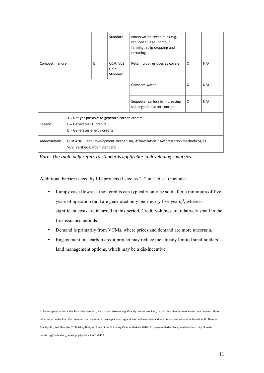|                                                                                                                                            |  |   | Standard                      | conservation techniques e.g.<br>reduced tillage, contour<br>farming, strip cropping and<br>terracing |   |     |
|--------------------------------------------------------------------------------------------------------------------------------------------|--|---|-------------------------------|------------------------------------------------------------------------------------------------------|---|-----|
| Compost manure                                                                                                                             |  | Е | CDM, VCS,<br>Gold<br>Standard | Retain crop residues as covers                                                                       | X | N/A |
|                                                                                                                                            |  |   |                               | Conserve water                                                                                       | X | N/A |
|                                                                                                                                            |  |   |                               | Sequester carbon by increasing<br>soil organic matter content                                        | X | N/A |
| $X = Not$ yet possible to generate carbon credits<br>Legend<br>$L =$ Generates LU credits<br>$E =$ Generates energy credits                |  |   |                               |                                                                                                      |   |     |
| Abbreviations<br>CDM A/R: Clean Development Mechanism, Afforestation / Reforestation methodologies<br><b>VCS: Verified Carbon Standard</b> |  |   |                               |                                                                                                      |   |     |

*Note: The table only refers to standards applicable in developing countries.*

Additional barriers faced by LU projects (listed as "L" in Table 1) include:

- Lumpy cash flows; carbon credits can typically only be sold after a minimum of five years of operation (and are generated only once every five years)<sup>4</sup>, whereas significant costs are incurred in this period. Credit volumes are relatively small in the first issuance periods.
- Demand is primarily from VCMs, where prices and demand are more uncertain.
- Engagement in a carbon credit project may reduce the already limited smallholders' land management options, which may be a dis-incentive.

4 An exception to this is the Plan Vivo standard, which does allow for significantly quicker crediting, but which suffers from relatively poor demand. More information on the Plan Vivo standard can be found at: www.planvivo.org and information on demand and prices can be found in: Hamilton, K., Peters-Stanley, M., and Marcello, T. 'Building Bridges: State of the Voluntary Carbon Markets 2010,' Ecosystem Marketplace, available from: http://foresttrends.org/publication\_details.php?publicationID=2433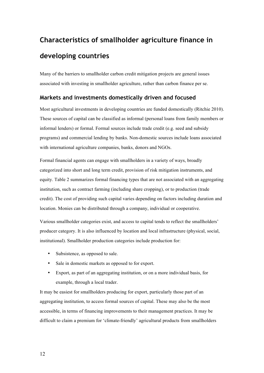# **Characteristics of smallholder agriculture finance in developing countries**

Many of the barriers to smallholder carbon credit mitigation projects are general issues associated with investing in smallholder agriculture, rather than carbon finance per se.

## **Markets and investments domestically driven and focused**

Most agricultural investments in developing countries are funded domestically (Ritchie 2010). These sources of capital can be classified as informal (personal loans from family members or informal lenders) or formal. Formal sources include trade credit (e.g. seed and subsidy programs) and commercial lending by banks. Non-domestic sources include loans associated with international agriculture companies, banks, donors and NGOs.

Formal financial agents can engage with smallholders in a variety of ways, broadly categorized into short and long term credit, provision of risk mitigation instruments, and equity. Table 2 summarizes formal financing types that are not associated with an aggregating institution, such as contract farming (including share cropping), or to production (trade credit). The cost of providing such capital varies depending on factors including duration and location. Monies can be distributed through a company, individual or cooperative.

Various smallholder categories exist, and access to capital tends to reflect the smallholders' producer category. It is also influenced by location and local infrastructure (physical, social, institutional). Smallholder production categories include production for:

- Subsistence, as opposed to sale.
- Sale in domestic markets as opposed to for export.
- Export, as part of an aggregating institution, or on a more individual basis, for example, through a local trader.

It may be easiest for smallholders producing for export, particularly those part of an aggregating institution, to access formal sources of capital. These may also be the most accessible, in terms of financing improvements to their management practices. It may be difficult to claim a premium for 'climate-friendly' agricultural products from smallholders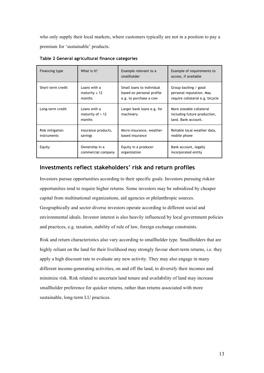who only supply their local markets, where customers typically are not in a position to pay a premium for 'sustainable' products.

| Financing type    | What is it?                                  | Example relevant to a<br>smallholder    | Example of requirements to<br>access, if available                              |
|-------------------|----------------------------------------------|-----------------------------------------|---------------------------------------------------------------------------------|
| Short-term credit | Loans with a                                 | Small loans to individual               | Group backing / good                                                            |
|                   | maturity $\leq 12$                           | based on personal profile               | personal reputation. May                                                        |
|                   | months                                       | e.g. to purchase a cow                  | require collateral e.g. bicycle                                                 |
| Long-term credit  | Loans with a<br>maturity of $> 12$<br>months | Larger bank loans e.g. for<br>machinery | More sizeable collateral<br>including future production,<br>land. Bank account. |
| Risk mitigation   | Insurance products,                          | Micro-insurance, weather-               | Reliable local weather data,                                                    |
| instruments       | savings                                      | based insurance                         | mobile phone                                                                    |
| Equity            | Ownership in a                               | Equity in a producer                    | Bank account, legally                                                           |
|                   | commercial company                           | organization                            | incorporated entity                                                             |

**Table 2 General agricultural finance categories**

## **Investments reflect stakeholders' risk and return profiles**

Investors pursue opportunities according to their specific goals. Investors pursuing riskier opportunities tend to require higher returns. Some investors may be subsidized by cheaper capital from multinational organizations, aid agencies or philanthropic sources. Geographically and sector diverse investors operate according to different social and environmental ideals. Investor interest is also heavily influenced by local government policies and practices, e.g. taxation, stability of rule of law, foreign exchange constraints.

Risk and return characteristics also vary according to smallholder type. Smallholders that are highly reliant on the land for their livelihood may strongly favour short-term returns, i.e. they apply a high discount rate to evaluate any new activity. They may also engage in many different income-generating activities, on and off the land, to diversify their incomes and minimize risk. Risk related to uncertain land tenure and availability of land may increase smallholder preference for quicker returns, rather than returns associated with more sustainable, long-term LU practices.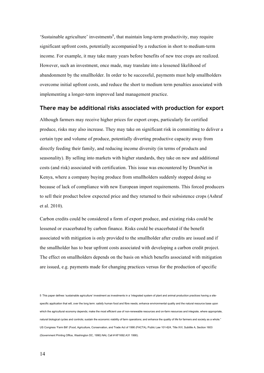'Sustainable agriculture' investments<sup>5</sup>, that maintain long-term productivity, may require significant upfront costs, potentially accompanied by a reduction in short to medium-term income. For example, it may take many years before benefits of new tree crops are realized. However, such an investment, once made, may translate into a lessened likelihood of abandonment by the smallholder. In order to be successful, payments must help smallholders overcome initial upfront costs, and reduce the short to medium term penalties associated with implementing a longer-term improved land management practice.

## **There may be additional risks associated with production for export**

Although farmers may receive higher prices for export crops, particularly for certified produce, risks may also increase. They may take on significant risk in committing to deliver a certain type and volume of produce, potentially diverting productive capacity away from directly feeding their family, and reducing income diversity (in terms of products and seasonality). By selling into markets with higher standards, they take on new and additional costs (and risk) associated with certification. This issue was encountered by DrumNet in Kenya, where a company buying produce from smallholders suddenly stopped doing so because of lack of compliance with new European import requirements. This forced producers to sell their product below expected price and they returned to their subsistence crops (Ashraf et al. 2010).

Carbon credits could be considered a form of export produce, and existing risks could be lessened or exacerbated by carbon finance. Risks could be exacerbated if the benefit associated with mitigation is only provided to the smallholder after credits are issued and if the smallholder has to bear upfront costs associated with developing a carbon credit project. The effect on smallholders depends on the basis on which benefits associated with mitigation are issued, e.g. payments made for changing practices versus for the production of specific

5 This paper defines 'sustainable agriculture' investment as investments in a 'integrated system of plant and animal production practices having a sitespecific application that will, over the long term: satisfy human food and fibre needs; enhance environmental quality and the natural resource base upon which the agricultural economy depends; make the most efficient use of non-renewable resources and on-farm resources and integrate, where appropriate, natural biological cycles and controls; sustain the economic viability of farm operations; and enhance the quality of life for farmers and society as a whole." US Congress 'Farm Bill' (Food, Agriculture, Conservation, and Trade Act of 1990 (FACTA), Public Law 101-624, Title XVI, Subtitle A, Section 1603 (Government Printing Office, Washington DC, 1990) NAL Call # KF1692.A31 1990).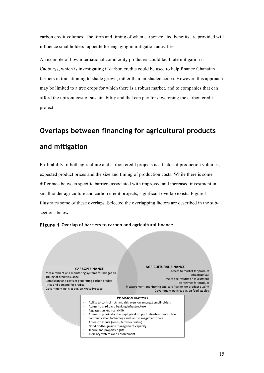carbon credit volumes. The form and timing of when carbon-related benefits are provided will influence smallholders' appetite for engaging in mitigation activities.

An example of how international commodity producers could facilitate mitigation is Cadburys, which is investigating if carbon credits could be used to help finance Ghanaian farmers in transitioning to shade grown, rather than un-shaded cocoa. However, this approach may be limited to a tree crops for which there is a robust market, and to companies that can afford the upfront cost of sustainability and that can pay for developing the carbon credit project.

# **Overlaps between financing for agricultural products and mitigation**

Profitability of both agriculture and carbon credit projects is a factor of production volumes, expected product prices and the size and timing of production costs. While there is some difference between specific barriers associated with improved and increased investment in smallholder agriculture and carbon credit projects, significant overlap exists. Figure 1 illustrates some of these overlaps. Selected the overlapping factors are described in the subsections below.



#### **Figure 1 Overlap of barriers to carbon and agricultural finance**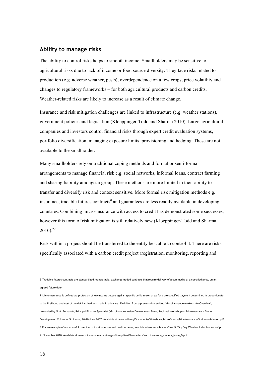### **Ability to manage risks**

The ability to control risks helps to smooth income. Smallholders may be sensitive to agricultural risks due to lack of income or food source diversity. They face risks related to production (e.g. adverse weather, pests), overdependence on a few crops, price volatility and changes to regulatory frameworks – for both agricultural products and carbon credits. Weather-related risks are likely to increase as a result of climate change.

Insurance and risk mitigation challenges are linked to infrastructure (e.g. weather stations), government policies and legislation (Kloeppinger-Todd and Sharma 2010). Large agricultural companies and investors control financial risks through expert credit evaluation systems, portfolio diversification, managing exposure limits, provisioning and hedging. These are not available to the smallholder.

Many smallholders rely on traditional coping methods and formal or semi-formal arrangements to manage financial risk e.g. social networks, informal loans, contract farming and sharing liability amongst a group. These methods are more limited in their ability to transfer and diversify risk and context sensitive. More formal risk mitigation methods e.g. insurance, tradable futures contracts<sup>6</sup> and guarantees are less readily available in developing countries. Combining micro-insurance with access to credit has demonstrated some successes, however this form of risk mitigation is still relatively new (Kloeppinger-Todd and Sharma  $2010$ ).<sup>7,8</sup>

Risk within a project should be transferred to the entity best able to control it. There are risks specifically associated with a carbon credit project (registration, monitoring, reporting and

6 Tradable futures contracts are standardized, transferable, exchange-traded contracts that require delivery of a commodity at a specified price, on an agreed future date.

7 Micro-insurance is defined as 'protection of low-income people against specific perils in exchange for a pre-specified payment determined in proportionate to the likelihood and cost of the risk involved and made in advance.' Definition from a presentation entitled 'Microinsurance markets: An Overview', presented by N. A. Fernando, Principal Finance Specialist (Microfinance), Asian Development Bank, Regional Workshop on Microinsurance Sector Development, Colombo, Sri Lanka, 28-29 June 2007. Available at: www.adb.org/Documents/Slideshows/Microfinance/Microinsurance-Sri-Lanka-Mission.pdf 8 For an example of a successful combined micro-insurance and credit scheme, see 'Microinsurance Matters' No. 9, 'Dry Day Weather Index Insurance' p. 4. November 2010. Available at: www.microensure.com/images/library/files/Newsletters/microinsurance\_matters\_issue\_9.pdf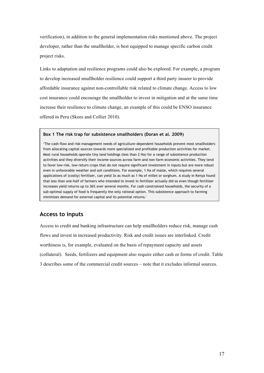verification), in addition to the general implementation risks mentioned above. The project developer, rather than the smallholder, is best equipped to manage specific carbon credit project risks.

Links to adaptation and resilience programs could also be explored. For example, a program to develop increased smallholder resilience could support a third party insurer to provide affordable insurance against non-controllable risk related to climate change. Access to low cost insurance could encourage the smallholder to invest in mitigation and at the same time increase their resilience to climate change, an example of this could be ENSO insurance offered in Peru (Skees and Collier 2010).

#### **Box 1 The risk trap for subsistence smallholders (Doran et al. 2009)**

'The cash-flow and risk-management needs of agriculture-dependent households prevent most smallholders from allocating capital sources towards more specialized and profitable production activities for market. Most rural households operate tiny land holdings (less than 2 Ha) for a range of subsistence production activities and they diversify their income sources across farm and non-farm economic activities. They tend to favor low-risk, low-return crops that do not require significant investment in inputs but are more robust even in unfavorable weather and soil conditions. For example, 1 Ha of maize, which requires several applications of (costly) fertilizer, can yield 3x as much as 1 Ha of millet or sorghum. A study in Kenya found that less than one-half of farmers who intended to invest in fertilizer actually did so even though fertilizer increases yield returns up to 36% over several months. For cash constrained households, the security of a sub-optimal supply of food is frequently the only rational option. This subsistence approach to farming minimizes demand for external capital and its potential returns.'

## **Access to inputs**

Access to credit and banking infrastructure can help smallholders reduce risk, manage cash flows and invest in increased productivity. Risk and credit issues are interlinked. Credit worthiness is, for example, evaluated on the basis of repayment capacity and assets (collateral). Seeds, fertilizers and equipment also require either cash or forms of credit. Table 3 describes some of the commercial credit sources – note that it excludes informal sources.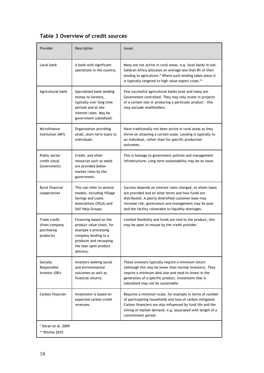# **Table 3 Overview of credit sources**

| Provider                                                 | Description                                                                                                                                                        | <b>Issues</b>                                                                                                                                                                                                                                                                      |
|----------------------------------------------------------|--------------------------------------------------------------------------------------------------------------------------------------------------------------------|------------------------------------------------------------------------------------------------------------------------------------------------------------------------------------------------------------------------------------------------------------------------------------|
| Local bank                                               | A bank with significant<br>operations in the country.                                                                                                              | Many are not active in rural areas, e.g. local banks in sub-<br>Saharan Africa allocates on average less than 8% of their<br>lending to agriculture.* Where such lending takes place it<br>is typically targeted to high value export crops.**                                     |
| Agricultural bank                                        | Specialized bank lending<br>money to farmers,<br>typically over long time<br>periods and at low<br>interest rates. May be<br>government subsidized.                | Few successful agricultural banks exist and many are<br>Government controlled. They may only invest in projects<br>of a certain size or producing a particular product - this<br>may exclude smallholders.                                                                         |
| Microfinance<br>Institution (MFI)                        | Organization providing<br>small, short-term loans to<br>individuals.                                                                                               | Have traditionally not been active in rural areas as they<br>thrive on attaining a certain scale. Lending is typically to<br>an individual, rather than for specific production<br>outcomes.                                                                                       |
| Public sector<br>credit (local<br>Government)            | Credit, and other<br>resources such as seeds<br>are provided below<br>market rates by the<br>government.                                                           | This is hostage to government policies and management<br>infrastructure. Long term sustainability may be an issue.                                                                                                                                                                 |
| Rural financial<br>cooperatives                          | This can refer to several<br>models, including Village<br>Savings and Loans<br>Associations (VSLA) and<br>Self Help Groups.                                        | Success depends on interest rates charged, to whom loans<br>are provided and on what terms and how funds are<br>distributed. A poorly diversified customer base may<br>increase risk, governance and management may be poor<br>and the facility vulnerable to liquidity shortages. |
| Trade credit<br>(from company<br>purchasing<br>products) | Financing based on the<br>product value chain, for<br>example a processing<br>company lending to a<br>producer and recouping<br>the loan upon product<br>delivery. | Limited flexibility and funds are tied to the product, this<br>may be open to misuse by the credit provider.                                                                                                                                                                       |
| Socially<br>Responsible<br>Investor (SRI)                | Investors seeking social<br>and environmental<br>outcomes as well as<br>financial returns.                                                                         | These investors typically require a minimum return<br>(although this may be lower than normal investors). They<br>require a minimum deal size and tend to invest in the<br>generation of a specific product. Investment that is<br>subsidized may not be sustainable.              |
| Carbon financier                                         | Investment is based on<br>expected carbon credit<br>revenues.                                                                                                      | Requires a minimum scale, for example in terms of number<br>of participating households and tons of carbon mitigated.<br>Carbon financiers are also influenced by fund life and the<br>timing of market demand, e.g. associated with length of a<br>commitment period.             |

18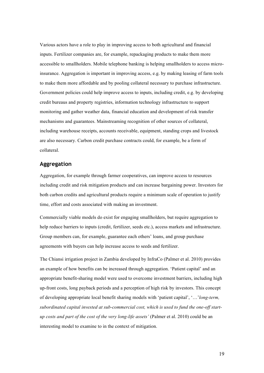Various actors have a role to play in improving access to both agricultural and financial inputs. Fertilizer companies are, for example, repackaging products to make them more accessible to smallholders. Mobile telephone banking is helping smallholders to access microinsurance. Aggregation is important in improving access, e.g. by making leasing of farm tools to make them more affordable and by pooling collateral necessary to purchase infrastructure. Government policies could help improve access to inputs, including credit, e.g. by developing credit bureaus and property registries, information technology infrastructure to support monitoring and gather weather data, financial education and development of risk transfer mechanisms and guarantees. Mainstreaming recognition of other sources of collateral, including warehouse receipts, accounts receivable, equipment, standing crops and livestock are also necessary. Carbon credit purchase contracts could, for example, be a form of collateral.

## **Aggregation**

Aggregation, for example through farmer cooperatives, can improve access to resources including credit and risk mitigation products and can increase bargaining power. Investors for both carbon credits and agricultural products require a minimum scale of operation to justify time, effort and costs associated with making an investment.

Commercially viable models do exist for engaging smallholders, but require aggregation to help reduce barriers to inputs (credit, fertilizer, seeds etc.), access markets and infrastructure. Group members can, for example, guarantee each others' loans, and group purchase agreements with buyers can help increase access to seeds and fertilizer.

The Chiansi irrigation project in Zambia developed by InfraCo (Palmer et al. 2010) provides an example of how benefits can be increased through aggregation. 'Patient capital' and an appropriate benefit-sharing model were used to overcome investment barriers, including high up-front costs, long payback periods and a perception of high risk by investors. This concept of developing appropriate local benefit sharing models with 'patient capital', '…'*long-term, subordinated capital invested at sub-commercial cost, which is used to fund the one-off startup costs and part of the cost of the very long-life assets'* (Palmer et al. 2010) could be an interesting model to examine to in the context of mitigation.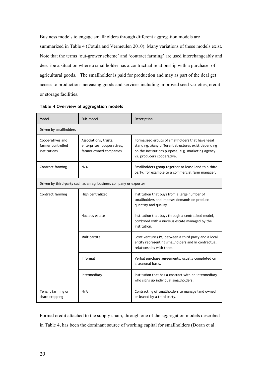Business models to engage smallholders through different aggregation models are summarized in Table 4 (Cotula and Vermeulen 2010). Many variations of these models exist. Note that the terms 'out-grower scheme' and 'contract farming' are used interchangeably and describe a situation where a smallholder has a contractual relationship with a purchaser of agricultural goods. The smallholder is paid for production and may as part of the deal get access to production-increasing goods and services including improved seed varieties, credit or storage facilities.

| Model                                                 | Sub-model                                                                                                                                                                                                                                                                     | Description                                                                                                                             |  |  |
|-------------------------------------------------------|-------------------------------------------------------------------------------------------------------------------------------------------------------------------------------------------------------------------------------------------------------------------------------|-----------------------------------------------------------------------------------------------------------------------------------------|--|--|
| Driven by smallholders                                |                                                                                                                                                                                                                                                                               |                                                                                                                                         |  |  |
| Cooperatives and<br>farmer controlled<br>institutions | Associations, trusts,<br>Formalized groups of smallholders that have legal<br>enterprises, cooperatives,<br>standing. Many different structures exist depending<br>farmer owned companies<br>on the institutions purpose, e.g. marketing agency<br>vs. producers cooperative. |                                                                                                                                         |  |  |
| Contract farming                                      | N/A                                                                                                                                                                                                                                                                           | Smallholders group together to lease land to a third<br>party, for example to a commercial farm manager.                                |  |  |
|                                                       | Driven by third-party such as an agribusiness company or exporter                                                                                                                                                                                                             |                                                                                                                                         |  |  |
| Contract farming                                      | High centralized                                                                                                                                                                                                                                                              | Institution that buys from a large number of<br>smallholders and imposes demands on produce<br>quantity and quality                     |  |  |
|                                                       | Nucleus estate                                                                                                                                                                                                                                                                | Institution that buys through a centralized model,<br>combined with a nucleus estate managed by the<br>institution.                     |  |  |
|                                                       | Multipartite                                                                                                                                                                                                                                                                  | Joint venture (JV) between a third party and a local<br>entity representing smallholders and in contractual<br>relationships with them. |  |  |
|                                                       | Informal                                                                                                                                                                                                                                                                      | Verbal purchase agreements, usually completed on<br>a seasonal basis.                                                                   |  |  |
|                                                       | Intermediary                                                                                                                                                                                                                                                                  | Institution that has a contract with an intermediary<br>who signs up individual smallholders.                                           |  |  |
| Tenant farming or<br>share cropping                   | N/A                                                                                                                                                                                                                                                                           | Contracting of smallholders to manage land owned<br>or leased by a third party.                                                         |  |  |

| Table 4 Overview of aggregation models |  |  |
|----------------------------------------|--|--|
|----------------------------------------|--|--|

Formal credit attached to the supply chain, through one of the aggregation models described in Table 4, has been the dominant source of working capital for smallholders (Doran et al.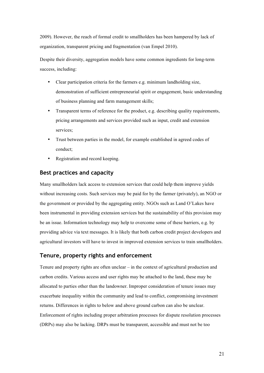2009). However, the reach of formal credit to smallholders has been hampered by lack of organization, transparent pricing and fragmentation (van Empel 2010).

Despite their diversity, aggregation models have some common ingredients for long-term success, including:

- Clear participation criteria for the farmers e.g. minimum landholding size, demonstration of sufficient entrepreneurial spirit or engagement, basic understanding of business planning and farm management skills;
- Transparent terms of reference for the product, e.g. describing quality requirements, pricing arrangements and services provided such as input, credit and extension services;
- Trust between parties in the model, for example established in agreed codes of conduct;
- Registration and record keeping.

## **Best practices and capacity**

Many smallholders lack access to extension services that could help them improve yields without increasing costs. Such services may be paid for by the farmer (privately), an NGO or the government or provided by the aggregating entity. NGOs such as Land O'Lakes have been instrumental in providing extension services but the sustainability of this provision may be an issue. Information technology may help to overcome some of these barriers, e.g. by providing advice via text messages. It is likely that both carbon credit project developers and agricultural investors will have to invest in improved extension services to train smallholders.

# **Tenure, property rights and enforcement**

Tenure and property rights are often unclear – in the context of agricultural production and carbon credits. Various access and user rights may be attached to the land, these may be allocated to parties other than the landowner. Improper consideration of tenure issues may exacerbate inequality within the community and lead to conflict, compromising investment returns. Differences in rights to below and above ground carbon can also be unclear. Enforcement of rights including proper arbitration processes for dispute resolution processes (DRPs) may also be lacking. DRPs must be transparent, accessible and must not be too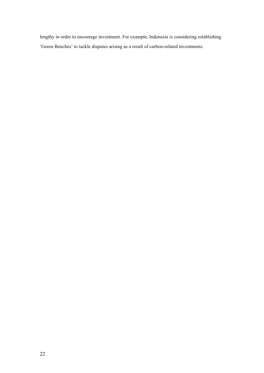lengthy in order to encourage investment. For example, Indonesia is considering establishing 'Green Benches' to tackle disputes arising as a result of carbon-related investments.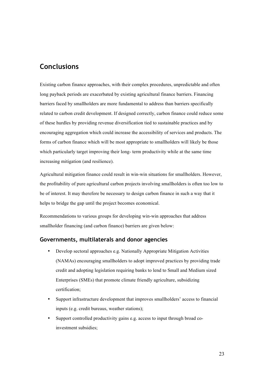# **Conclusions**

Existing carbon finance approaches, with their complex procedures, unpredictable and often long payback periods are exacerbated by existing agricultural finance barriers. Financing barriers faced by smallholders are more fundamental to address than barriers specifically related to carbon credit development. If designed correctly, carbon finance could reduce some of these hurdles by providing revenue diversification tied to sustainable practices and by encouraging aggregation which could increase the accessibility of services and products. The forms of carbon finance which will be most appropriate to smallholders will likely be those which particularly target improving their long- term productivity while at the same time increasing mitigation (and resilience).

Agricultural mitigation finance could result in win-win situations for smallholders. However, the profitability of pure agricultural carbon projects involving smallholders is often too low to be of interest. It may therefore be necessary to design carbon finance in such a way that it helps to bridge the gap until the project becomes economical.

Recommendations to various groups for developing win-win approaches that address smallholder financing (and carbon finance) barriers are given below:

## **Governments, multilaterals and donor agencies**

- Develop sectoral approaches e.g. Nationally Appropriate Mitigation Activities (NAMAs) encouraging smallholders to adopt improved practices by providing trade credit and adopting legislation requiring banks to lend to Small and Medium sized Enterprises (SMEs) that promote climate friendly agriculture, subsidizing certification;
- Support infrastructure development that improves smallholders' access to financial inputs (e.g. credit bureaus, weather stations);
- Support controlled productivity gains e.g. access to input through broad coinvestment subsidies;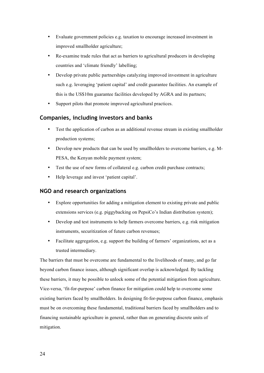- Evaluate government policies e.g. taxation to encourage increased investment in improved smallholder agriculture;
- Re-examine trade rules that act as barriers to agricultural producers in developing countries and 'climate friendly' labelling;
- Develop private public partnerships catalyzing improved investment in agriculture such e.g. leveraging 'patient capital' and credit guarantee facilities. An example of this is the US\$10m guarantee facilities developed by AGRA and its partners;
- Support pilots that promote improved agricultural practices.

## **Companies, including investors and banks**

- Test the application of carbon as an additional revenue stream in existing smallholder production systems;
- Develop new products that can be used by smallholders to overcome barriers, e.g. M-PESA, the Kenyan mobile payment system;
- Test the use of new forms of collateral e.g. carbon credit purchase contracts;
- Help leverage and invest 'patient capital'.

## **NGO and research organizations**

- Explore opportunities for adding a mitigation element to existing private and public extensions services (e.g. piggybacking on PepsiCo's Indian distribution system);
- Develop and test instruments to help farmers overcome barriers, e.g. risk mitigation instruments, securitization of future carbon revenues;
- Facilitate aggregation, e.g. support the building of farmers' organizations, act as a trusted intermediary.

The barriers that must be overcome are fundamental to the livelihoods of many, and go far beyond carbon finance issues, although significant overlap is acknowledged. By tackling these barriers, it may be possible to unlock some of the potential mitigation from agriculture. Vice-versa, 'fit-for-purpose' carbon finance for mitigation could help to overcome some existing barriers faced by smallholders. In designing fit-for-purpose carbon finance, emphasis must be on overcoming these fundamental, traditional barriers faced by smallholders and to financing sustainable agriculture in general, rather than on generating discrete units of mitigation.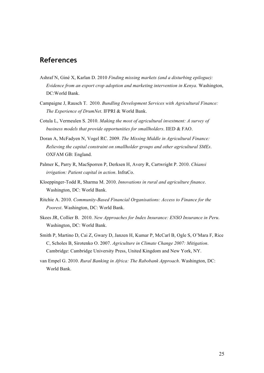# **References**

- Ashraf N, Giné X, Karlan D. 2010 *Finding missing markets (and a disturbing epilogue): Evidence from an export crop adoption and marketing intervention in Kenya*. Washington, DC:World Bank.
- Campaigne J, Rausch T. 2010. *Bundling Development Services with Agricultural Finance: The Experience of DrumNet*. IFPRI & World Bank.
- Cotula L, Vermeulen S. 2010. *Making the most of agricultural investment: A survey of business models that provide opportunities for smallholders*. IIED & FAO.
- Doran A, McFadyen N, Vogel RC. 2009. *The Missing Middle in Agricultural Finance: Relieving the capital constraint on smallholder groups and other agricultural SMEs*. OXFAM GB: England.
- Palmer K, Parry R, MacSporren P, Derksen H, Avery R, Cartwright P. 2010. *Chiansi irrigation: Patient capital in action*. InfraCo.
- Kloeppinger-Todd R, Sharma M. 2010. *Innovations in rural and agriculture finance*. Washington, DC: World Bank.
- Ritchie A. 2010. *Community-Based Financial Organisations: Access to Finance for the Poorest*. Washington, DC: World Bank.
- Skees JR, Collier B. 2010. *New Approaches for Index Insurance: ENSO Insurance in Peru*. Washington, DC: World Bank.
- Smith P, Martino D, Cai Z, Gwary D, Janzen H, Kumar P, McCarl B, Ogle S, O'Mara F, Rice C, Scholes B, Sirotenko O. 2007. *Agriculture in Climate Change 2007: Mitigation*. Cambridge: Cambridge University Press, United Kingdom and New York, NY.
- van Empel G. 2010. *Rural Banking in Africa: The Rabobank Approach*. Washington, DC: World Bank.